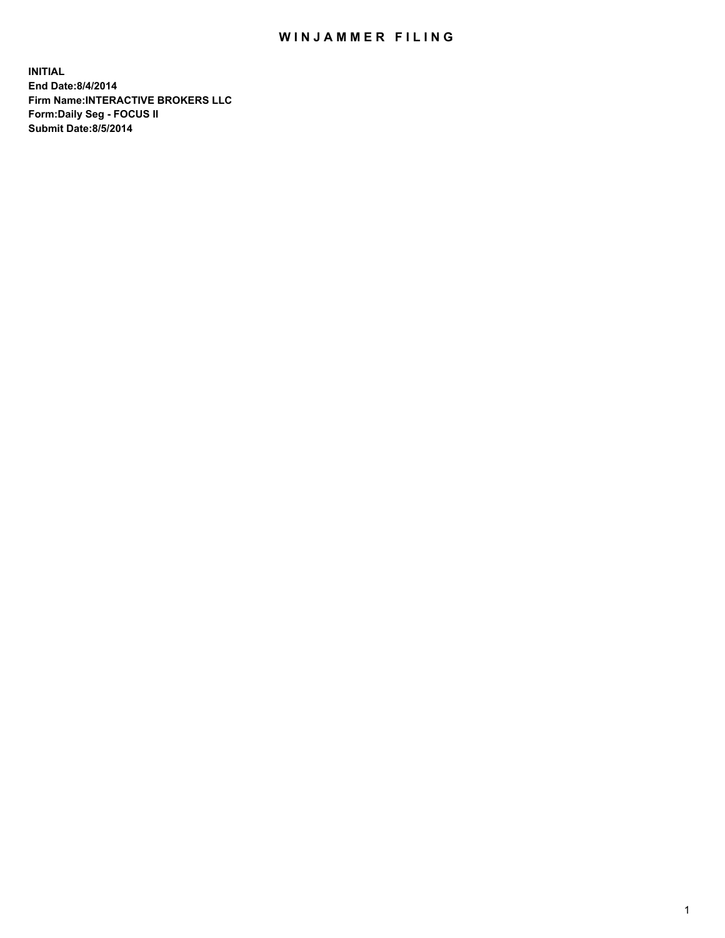## WIN JAMMER FILING

**INITIAL End Date:8/4/2014 Firm Name:INTERACTIVE BROKERS LLC Form:Daily Seg - FOCUS II Submit Date:8/5/2014**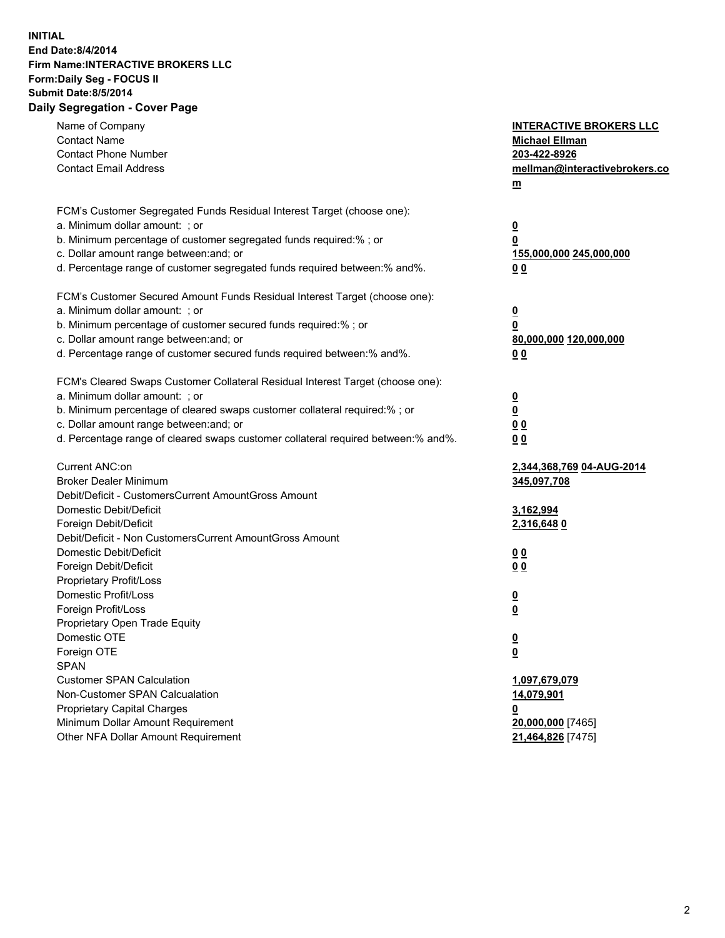## **INITIAL End Date:8/4/2014 Firm Name:INTERACTIVE BROKERS LLC Form:Daily Seg - FOCUS II Submit Date:8/5/2014 Daily Segregation - Cover Page**

| Name of Company<br><b>Contact Name</b><br><b>Contact Phone Number</b><br><b>Contact Email Address</b> | <b>INTERACTIVE BROKERS LLC</b><br><b>Michael Ellman</b><br>203-422-8926<br>mellman@interactivebrokers.co<br>$\underline{\mathbf{m}}$ |
|-------------------------------------------------------------------------------------------------------|--------------------------------------------------------------------------------------------------------------------------------------|
| FCM's Customer Segregated Funds Residual Interest Target (choose one):                                |                                                                                                                                      |
| a. Minimum dollar amount: ; or                                                                        | $\overline{\mathbf{0}}$                                                                                                              |
| b. Minimum percentage of customer segregated funds required:% ; or                                    | 0                                                                                                                                    |
| c. Dollar amount range between: and; or                                                               | 155,000,000 245,000,000                                                                                                              |
| d. Percentage range of customer segregated funds required between:% and%.                             | 00                                                                                                                                   |
| FCM's Customer Secured Amount Funds Residual Interest Target (choose one):                            |                                                                                                                                      |
| a. Minimum dollar amount: ; or                                                                        | $\overline{\mathbf{0}}$                                                                                                              |
| b. Minimum percentage of customer secured funds required:% ; or                                       | 0                                                                                                                                    |
| c. Dollar amount range between: and; or                                                               | 80,000,000 120,000,000                                                                                                               |
| d. Percentage range of customer secured funds required between:% and%.                                | 00                                                                                                                                   |
|                                                                                                       |                                                                                                                                      |
| FCM's Cleared Swaps Customer Collateral Residual Interest Target (choose one):                        |                                                                                                                                      |
| a. Minimum dollar amount: ; or                                                                        | $\overline{\mathbf{0}}$                                                                                                              |
| b. Minimum percentage of cleared swaps customer collateral required:% ; or                            | $\underline{\mathbf{0}}$                                                                                                             |
| c. Dollar amount range between: and; or                                                               | 0 <sub>0</sub>                                                                                                                       |
| d. Percentage range of cleared swaps customer collateral required between:% and%.                     | 0 <sub>0</sub>                                                                                                                       |
| Current ANC:on                                                                                        | 2,344,368,769 04-AUG-2014                                                                                                            |
| <b>Broker Dealer Minimum</b>                                                                          | 345,097,708                                                                                                                          |
| Debit/Deficit - CustomersCurrent AmountGross Amount                                                   |                                                                                                                                      |
| Domestic Debit/Deficit                                                                                | 3,162,994                                                                                                                            |
| Foreign Debit/Deficit                                                                                 | 2,316,648 0                                                                                                                          |
| Debit/Deficit - Non CustomersCurrent AmountGross Amount                                               |                                                                                                                                      |
| Domestic Debit/Deficit                                                                                | 0 <sub>0</sub>                                                                                                                       |
| Foreign Debit/Deficit                                                                                 | 0 <sub>0</sub>                                                                                                                       |
| Proprietary Profit/Loss                                                                               |                                                                                                                                      |
| Domestic Profit/Loss                                                                                  | $\overline{\mathbf{0}}$                                                                                                              |
| Foreign Profit/Loss                                                                                   | $\underline{\mathbf{0}}$                                                                                                             |
| Proprietary Open Trade Equity                                                                         |                                                                                                                                      |
| Domestic OTE                                                                                          | <u>0</u>                                                                                                                             |
| Foreign OTE                                                                                           | <u>0</u>                                                                                                                             |
| <b>SPAN</b>                                                                                           |                                                                                                                                      |
| <b>Customer SPAN Calculation</b>                                                                      | 1,097,679,079                                                                                                                        |
| Non-Customer SPAN Calcualation                                                                        | 14,079,901                                                                                                                           |
| Proprietary Capital Charges                                                                           | 0                                                                                                                                    |
| Minimum Dollar Amount Requirement                                                                     | 20,000,000 [7465]                                                                                                                    |
| Other NFA Dollar Amount Requirement                                                                   | 21,464,826 [7475]                                                                                                                    |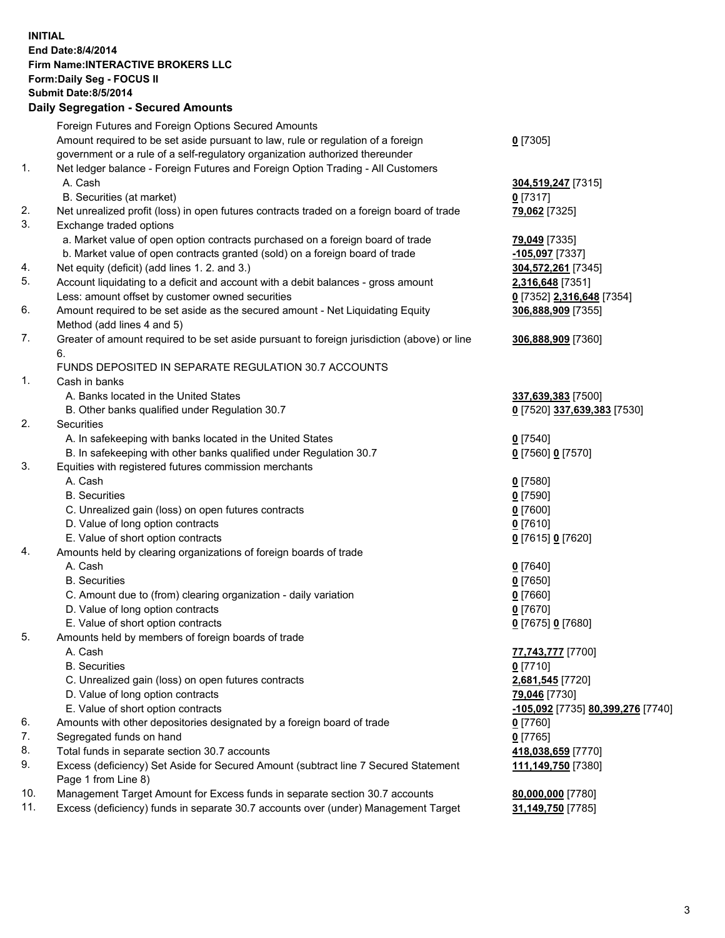## **INITIAL End Date:8/4/2014 Firm Name:INTERACTIVE BROKERS LLC Form:Daily Seg - FOCUS II Submit Date:8/5/2014 Daily Segregation - Secured Amounts**

|     | Foreign Futures and Foreign Options Secured Amounts                                                        |                                   |
|-----|------------------------------------------------------------------------------------------------------------|-----------------------------------|
|     | Amount required to be set aside pursuant to law, rule or regulation of a foreign                           | $0$ [7305]                        |
|     | government or a rule of a self-regulatory organization authorized thereunder                               |                                   |
| 1.  | Net ledger balance - Foreign Futures and Foreign Option Trading - All Customers                            |                                   |
|     | A. Cash                                                                                                    | 304,519,247 [7315]                |
|     | B. Securities (at market)                                                                                  | $0$ [7317]                        |
| 2.  | Net unrealized profit (loss) in open futures contracts traded on a foreign board of trade                  | 79,062 [7325]                     |
| 3.  | Exchange traded options                                                                                    |                                   |
|     | a. Market value of open option contracts purchased on a foreign board of trade                             | 79,049 [7335]                     |
|     | b. Market value of open contracts granted (sold) on a foreign board of trade                               | <u>-105,097</u> [7337]            |
| 4.  | Net equity (deficit) (add lines 1.2. and 3.)                                                               | 304,572,261 [7345]                |
| 5.  | Account liquidating to a deficit and account with a debit balances - gross amount                          | 2,316,648 [7351]                  |
|     | Less: amount offset by customer owned securities                                                           | 0 [7352] 2,316,648 [7354]         |
| 6.  | Amount required to be set aside as the secured amount - Net Liquidating Equity                             | 306,888,909 [7355]                |
|     | Method (add lines 4 and 5)                                                                                 |                                   |
| 7.  | Greater of amount required to be set aside pursuant to foreign jurisdiction (above) or line                | 306,888,909 [7360]                |
|     | 6.                                                                                                         |                                   |
|     | FUNDS DEPOSITED IN SEPARATE REGULATION 30.7 ACCOUNTS                                                       |                                   |
| 1.  | Cash in banks                                                                                              |                                   |
|     | A. Banks located in the United States                                                                      | 337,639,383 [7500]                |
|     | B. Other banks qualified under Regulation 30.7                                                             | 0 [7520] 337,639,383 [7530]       |
| 2.  | Securities                                                                                                 |                                   |
|     | A. In safekeeping with banks located in the United States                                                  | $Q$ [7540]                        |
|     | B. In safekeeping with other banks qualified under Regulation 30.7                                         | 0 [7560] 0 [7570]                 |
| 3.  | Equities with registered futures commission merchants                                                      |                                   |
|     | A. Cash                                                                                                    | $0$ [7580]                        |
|     | <b>B.</b> Securities                                                                                       | $0$ [7590]                        |
|     | C. Unrealized gain (loss) on open futures contracts                                                        | $0$ [7600]                        |
|     | D. Value of long option contracts                                                                          | $0$ [7610]                        |
|     | E. Value of short option contracts                                                                         | 0 [7615] 0 [7620]                 |
| 4.  | Amounts held by clearing organizations of foreign boards of trade                                          |                                   |
|     | A. Cash                                                                                                    | $Q$ [7640]                        |
|     | <b>B.</b> Securities                                                                                       | $0$ [7650]                        |
|     | C. Amount due to (from) clearing organization - daily variation                                            | $0$ [7660]                        |
|     | D. Value of long option contracts                                                                          | $0$ [7670]                        |
|     | E. Value of short option contracts                                                                         | 0 [7675] 0 [7680]                 |
| 5.  | Amounts held by members of foreign boards of trade                                                         |                                   |
|     | A. Cash                                                                                                    | 77,743,777 [7700]                 |
|     | <b>B.</b> Securities                                                                                       | $0$ [7710]                        |
|     | C. Unrealized gain (loss) on open futures contracts                                                        | 2,681,545 [7720]                  |
|     | D. Value of long option contracts                                                                          | 79,046 [7730]                     |
|     | E. Value of short option contracts                                                                         | -105,092 [7735] 80,399,276 [7740] |
| 6.  | Amounts with other depositories designated by a foreign board of trade                                     | $0$ [7760]                        |
| 7.  | Segregated funds on hand                                                                                   | $0$ [7765]                        |
| 8.  | Total funds in separate section 30.7 accounts                                                              | 418,038,659 [7770]                |
| 9.  | Excess (deficiency) Set Aside for Secured Amount (subtract line 7 Secured Statement<br>Page 1 from Line 8) | 111,149,750 [7380]                |
| 10. | Management Target Amount for Excess funds in separate section 30.7 accounts                                | 80,000,000 [7780]                 |
| 11. | Excess (deficiency) funds in separate 30.7 accounts over (under) Management Target                         | 31,149,750 [7785]                 |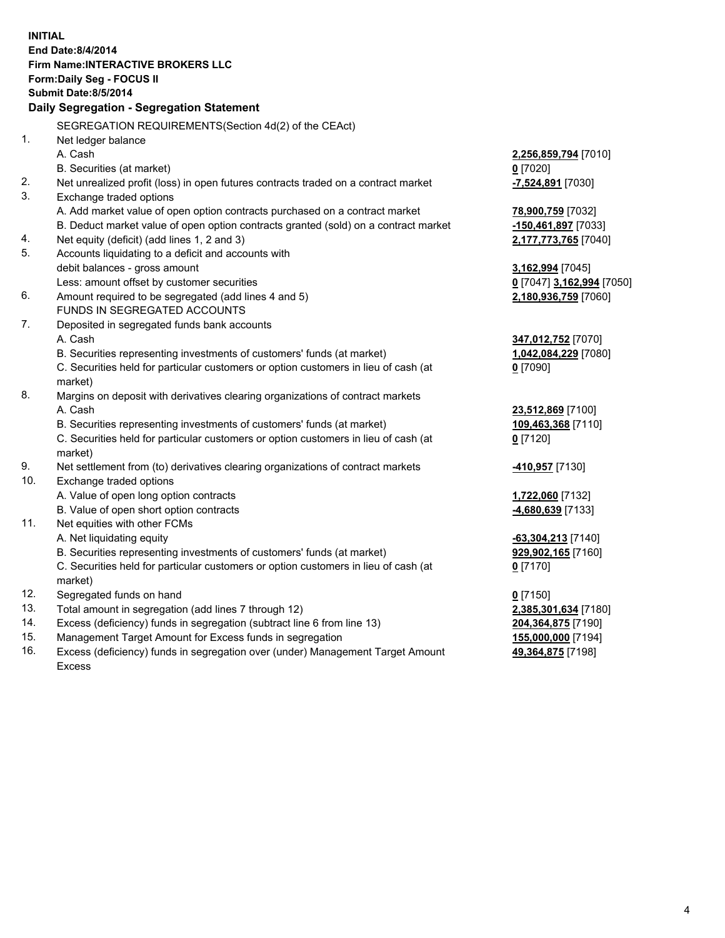**INITIAL End Date:8/4/2014 Firm Name:INTERACTIVE BROKERS LLC Form:Daily Seg - FOCUS II Submit Date:8/5/2014 Daily Segregation - Segregation Statement** SEGREGATION REQUIREMENTS(Section 4d(2) of the CEAct) 1. Net ledger balance A. Cash **2,256,859,794** [7010] B. Securities (at market) **0** [7020] 2. Net unrealized profit (loss) in open futures contracts traded on a contract market **-7,524,891** [7030] 3. Exchange traded options A. Add market value of open option contracts purchased on a contract market **78,900,759** [7032] B. Deduct market value of open option contracts granted (sold) on a contract market **-150,461,897** [7033] 4. Net equity (deficit) (add lines 1, 2 and 3) **2,177,773,765** [7040] 5. Accounts liquidating to a deficit and accounts with debit balances - gross amount **3,162,994** [7045] Less: amount offset by customer securities **0** [7047] **3,162,994** [7050] 6. Amount required to be segregated (add lines 4 and 5) **2,180,936,759** [7060] FUNDS IN SEGREGATED ACCOUNTS 7. Deposited in segregated funds bank accounts A. Cash **347,012,752** [7070] B. Securities representing investments of customers' funds (at market) **1,042,084,229** [7080] C. Securities held for particular customers or option customers in lieu of cash (at market) **0** [7090] 8. Margins on deposit with derivatives clearing organizations of contract markets A. Cash **23,512,869** [7100] B. Securities representing investments of customers' funds (at market) **109,463,368** [7110] C. Securities held for particular customers or option customers in lieu of cash (at market) **0** [7120] 9. Net settlement from (to) derivatives clearing organizations of contract markets **-410,957** [7130] 10. Exchange traded options A. Value of open long option contracts **1,722,060** [7132] B. Value of open short option contracts **-4,680,639** [7133] 11. Net equities with other FCMs A. Net liquidating equity **-63,304,213** [7140] B. Securities representing investments of customers' funds (at market) **929,902,165** [7160] C. Securities held for particular customers or option customers in lieu of cash (at market) **0** [7170] 12. Segregated funds on hand **0** [7150] 13. Total amount in segregation (add lines 7 through 12) **2,385,301,634** [7180] 14. Excess (deficiency) funds in segregation (subtract line 6 from line 13) **204,364,875** [7190] 15. Management Target Amount for Excess funds in segregation **155,000,000** [7194]

16. Excess (deficiency) funds in segregation over (under) Management Target Amount Excess

**49,364,875** [7198]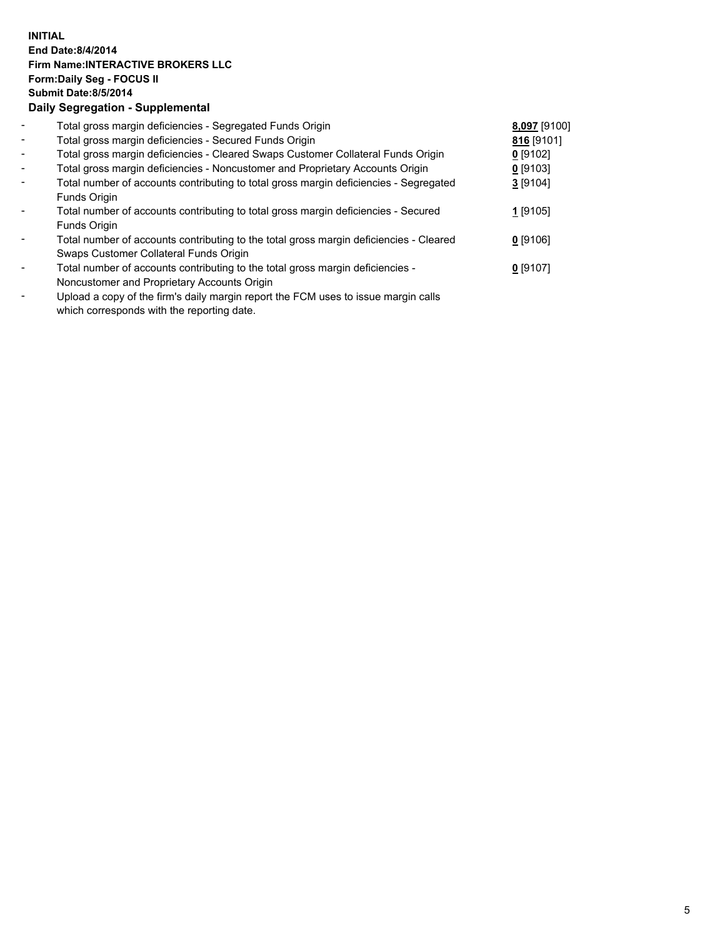## **INITIAL End Date:8/4/2014 Firm Name:INTERACTIVE BROKERS LLC Form:Daily Seg - FOCUS II Submit Date:8/5/2014 Daily Segregation - Supplemental**

| $\overline{\phantom{a}}$ | Total gross margin deficiencies - Segregated Funds Origin                              | 8,097 [9100] |  |
|--------------------------|----------------------------------------------------------------------------------------|--------------|--|
| $\overline{\phantom{a}}$ | Total gross margin deficiencies - Secured Funds Origin                                 | 816 [9101]   |  |
| $\overline{\phantom{a}}$ | Total gross margin deficiencies - Cleared Swaps Customer Collateral Funds Origin       | $0$ [9102]   |  |
| $\blacksquare$           | Total gross margin deficiencies - Noncustomer and Proprietary Accounts Origin          | $0$ [9103]   |  |
| $\blacksquare$           | Total number of accounts contributing to total gross margin deficiencies - Segregated  | $3$ [9104]   |  |
|                          | Funds Origin                                                                           |              |  |
|                          | Total number of accounts contributing to total gross margin deficiencies - Secured     | 1 [9105]     |  |
|                          | Funds Origin                                                                           |              |  |
|                          | Total number of accounts contributing to the total gross margin deficiencies - Cleared | $0$ [9106]   |  |
|                          | Swaps Customer Collateral Funds Origin                                                 |              |  |
|                          | Total number of accounts contributing to the total gross margin deficiencies -         | $0$ [9107]   |  |
|                          | Noncustomer and Proprietary Accounts Origin                                            |              |  |
|                          |                                                                                        |              |  |

- Upload a copy of the firm's daily margin report the FCM uses to issue margin calls which corresponds with the reporting date.